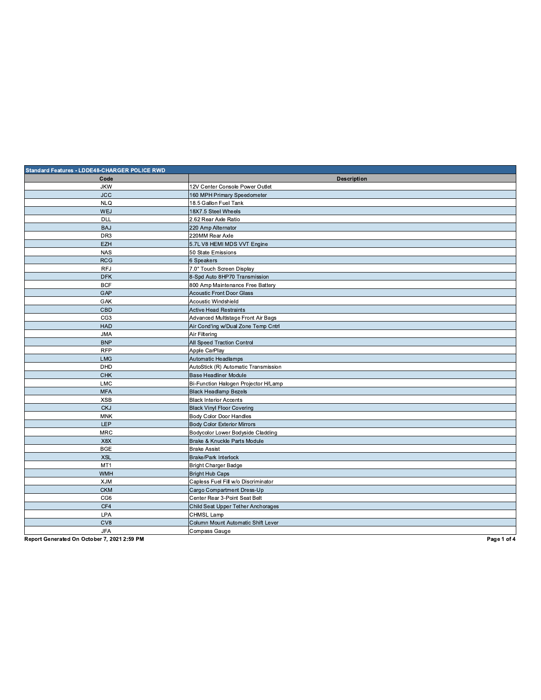| Standard Features - LDDE48-CHARGER POLICE RWD |                                      |  |
|-----------------------------------------------|--------------------------------------|--|
| Code                                          | <b>Description</b>                   |  |
| <b>JKW</b>                                    | 12V Center Console Power Outlet      |  |
| <b>JCC</b>                                    | 160 MPH Primary Speedometer          |  |
| <b>NLQ</b>                                    | 18.5 Gallon Fuel Tank                |  |
| <b>WEJ</b>                                    | 18X7.5 Steel Wheels                  |  |
| <b>DLL</b>                                    | 2.62 Rear Axle Ratio                 |  |
| <b>BAJ</b>                                    | 220 Amp Alternator                   |  |
| DR <sub>3</sub>                               | 220MM Rear Axle                      |  |
| <b>EZH</b>                                    | 5.7L V8 HEMI MDS VVT Engine          |  |
| <b>NAS</b>                                    | 50 State Emissions                   |  |
| <b>RCG</b>                                    | 6 Speakers                           |  |
| <b>RFJ</b>                                    | 7.0" Touch Screen Display            |  |
| <b>DFK</b>                                    | 8-Spd Auto 8HP70 Transmission        |  |
| <b>BCF</b>                                    | 800 Amp Maintenance Free Battery     |  |
| GAP                                           | <b>Acoustic Front Door Glass</b>     |  |
| GAK                                           | Acoustic Windshield                  |  |
| CBD                                           | <b>Active Head Restraints</b>        |  |
| CG <sub>3</sub>                               | Advanced Multistage Front Air Bags   |  |
| <b>HAD</b>                                    | Air Cond'ing w/Dual Zone Temp Cntrl  |  |
| <b>JMA</b>                                    | Air Filtering                        |  |
| <b>BNP</b>                                    | All Speed Traction Control           |  |
| <b>RFP</b>                                    | Apple CarPlay                        |  |
| <b>LMG</b>                                    | Automatic Headlamps                  |  |
| DHD                                           | AutoStick (R) Automatic Transmission |  |
| <b>CHK</b>                                    | <b>Base Headliner Module</b>         |  |
| <b>LMC</b>                                    | Bi-Function Halogen Projector H/Lamp |  |
| <b>MFA</b>                                    | <b>Black Headlamp Bezels</b>         |  |
| <b>XSB</b>                                    | <b>Black Interior Accents</b>        |  |
| <b>CKJ</b>                                    | <b>Black Vinyl Floor Covering</b>    |  |
| <b>MNK</b>                                    | Body Color Door Handles              |  |
| <b>LEP</b>                                    | <b>Body Color Exterior Mirrors</b>   |  |
| <b>MRC</b>                                    | Bodycolor Lower Bodyside Cladding    |  |
| X8X                                           | Brake & Knuckle Parts Module         |  |
| <b>BGE</b>                                    | <b>Brake Assist</b>                  |  |
| <b>XSL</b>                                    | <b>Brake/Park Interlock</b>          |  |
| MT <sub>1</sub>                               | <b>Bright Charger Badge</b>          |  |
| <b>WMH</b>                                    | <b>Bright Hub Caps</b>               |  |
| <b>XJM</b>                                    | Capless Fuel Fill w/o Discriminator  |  |
| <b>CKM</b>                                    | Cargo Compartment Dress-Up           |  |
| CG <sub>6</sub>                               | Center Rear 3-Point Seat Belt        |  |
| CF4                                           | Child Seat Upper Tether Anchorages   |  |
| <b>LPA</b>                                    | CHMSL Lamp                           |  |
| CV8                                           | Column Mount Automatic Shift Lever   |  |
| <b>JFA</b>                                    | Compass Gauge                        |  |
|                                               |                                      |  |

Page 1 of 4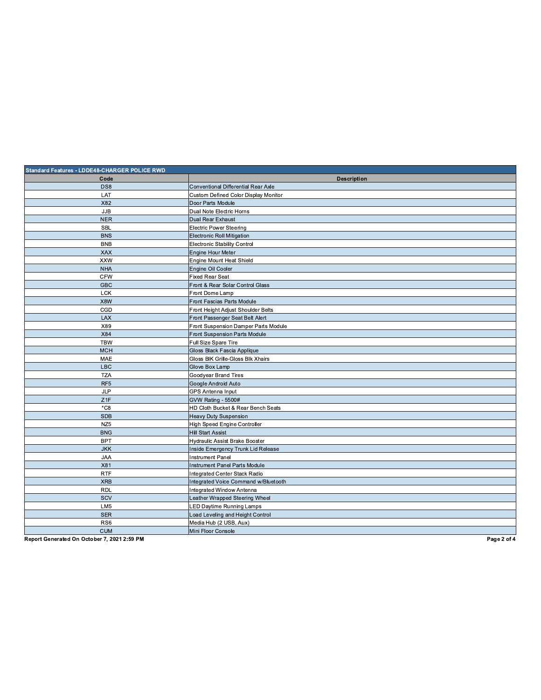| Standard Features - LDDE48-CHARGER POLICE RWD |                                            |  |
|-----------------------------------------------|--------------------------------------------|--|
| Code                                          | <b>Description</b>                         |  |
| DS8                                           | <b>Conventional Differential Rear Axle</b> |  |
| LAT                                           | Custom Defined Color Display Monitor       |  |
| X82                                           | Door Parts Module                          |  |
| <b>JJB</b>                                    | Dual Note Electric Horns                   |  |
| <b>NER</b>                                    | Dual Rear Exhaust                          |  |
| <b>SBL</b>                                    | <b>Electric Power Steering</b>             |  |
| <b>BNS</b>                                    | <b>Electronic Roll Mitigation</b>          |  |
| <b>BNB</b>                                    | <b>Electronic Stability Control</b>        |  |
| <b>XAX</b>                                    | Engine Hour Meter                          |  |
| <b>XXW</b>                                    | Engine Mount Heat Shield                   |  |
| <b>NHA</b>                                    | Engine Oil Cooler                          |  |
| <b>CFW</b>                                    | <b>Fixed Rear Seat</b>                     |  |
| <b>GBC</b>                                    | Front & Rear Solar Control Glass           |  |
| <b>LCK</b>                                    | Front Dome Lamp                            |  |
| X8W                                           | Front Fascias Parts Module                 |  |
| CGD                                           | Front Height Adjust Shoulder Belts         |  |
| LAX                                           | Front Passenger Seat Belt Alert            |  |
| X89                                           | Front Suspension Damper Parts Module       |  |
| X84                                           | Front Suspension Parts Module              |  |
| <b>TBW</b>                                    | Full Size Spare Tire                       |  |
| <b>MCH</b>                                    | Gloss Black Fascia Applique                |  |
| MAE                                           | Gloss BIK Grille-Gloss Blk Xhairs          |  |
| <b>LBC</b>                                    | Glove Box Lamp                             |  |
| <b>TZA</b>                                    | Goodyear Brand Tires                       |  |
| RF <sub>5</sub>                               | Google Android Auto                        |  |
| <b>JLP</b>                                    | GPS Antenna Input                          |  |
| Z1F                                           | GVW Rating - 5500#                         |  |
| $*$ C8                                        | HD Cloth Bucket & Rear Bench Seats         |  |
| <b>SDB</b>                                    | <b>Heavy Duty Suspension</b>               |  |
| NZ <sub>5</sub>                               | High Speed Engine Controller               |  |
| <b>BNG</b>                                    | <b>Hill Start Assist</b>                   |  |
| <b>BPT</b>                                    | Hydraulic Assist Brake Booster             |  |
| <b>JKK</b>                                    | Inside Emergency Trunk Lid Release         |  |
| <b>JAA</b>                                    | <b>Instrument Panel</b>                    |  |
| X81                                           | Instrument Panel Parts Module              |  |
| <b>RTF</b>                                    | Integrated Center Stack Radio              |  |
| <b>XRB</b>                                    | Integrated Voice Command w/Bluetooth       |  |
| <b>RDL</b>                                    | Integrated Window Antenna                  |  |
| SCV                                           | Leather Wrapped Steering Wheel             |  |
| LM <sub>5</sub>                               | LED Daytime Running Lamps                  |  |
| <b>SER</b>                                    | Load Leveling and Height Control           |  |
| RS <sub>6</sub>                               | Media Hub (2 USB, Aux)                     |  |
| <b>CUM</b>                                    | Mini Floor Console                         |  |

Page 2 of 4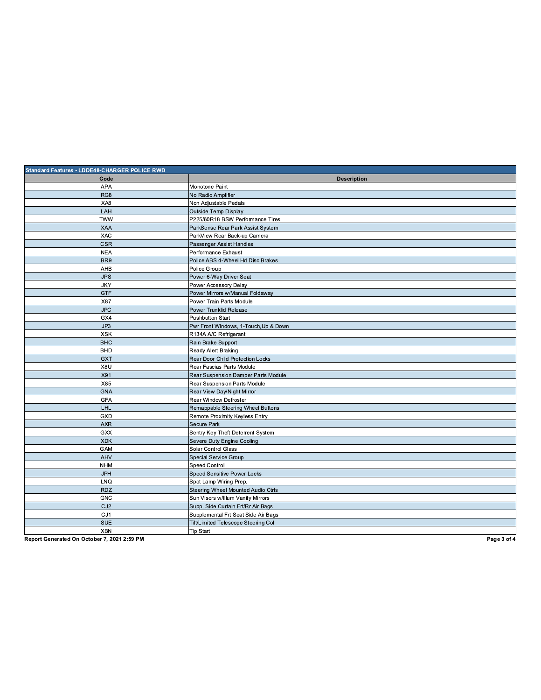| Standard Features - LDDE48-CHARGER POLICE RWD |                                       |  |
|-----------------------------------------------|---------------------------------------|--|
| Code                                          | <b>Description</b>                    |  |
| <b>APA</b>                                    | Monotone Paint                        |  |
| RG8                                           | No Radio Amplifier                    |  |
| XA8                                           | Non Adjustable Pedals                 |  |
| LAH                                           | <b>Outside Temp Display</b>           |  |
| <b>TWW</b>                                    | P225/60R18 BSW Performance Tires      |  |
| <b>XAA</b>                                    | ParkSense Rear Park Assist System     |  |
| XAC                                           | ParkView Rear Back-up Camera          |  |
| <b>CSR</b>                                    | Passenger Assist Handles              |  |
| <b>NEA</b>                                    | Performance Exhaust                   |  |
| BR <sub>9</sub>                               | Police ABS 4-Wheel Hd Disc Brakes     |  |
| AHB                                           | Police Group                          |  |
| <b>JPS</b>                                    | Power 6-Way Driver Seat               |  |
| <b>JKY</b>                                    | Power Accessory Delay                 |  |
| <b>GTF</b>                                    | Power Mirrors w/Manual Foldaway       |  |
| X87                                           | Power Train Parts Module              |  |
| <b>JPC</b>                                    | Power Trunklid Release                |  |
| GX4                                           | <b>Pushbutton Start</b>               |  |
| JP3                                           | Pwr Front Windows, 1-Touch, Up & Down |  |
| <b>XSK</b>                                    | R134A A/C Refrigerant                 |  |
| <b>BHC</b>                                    | Rain Brake Support                    |  |
| <b>BHD</b>                                    | Ready Alert Braking                   |  |
| <b>GXT</b>                                    | Rear Door Child Protection Locks      |  |
| X8U                                           | Rear Fascias Parts Module             |  |
| X91                                           | Rear Suspension Damper Parts Module   |  |
| X85                                           | Rear Suspension Parts Module          |  |
| <b>GNA</b>                                    | Rear View Day/Night Mirror            |  |
| <b>GFA</b>                                    | Rear Window Defroster                 |  |
| LHL                                           | Remappable Steering Wheel Buttons     |  |
| GXD                                           | Remote Proximity Keyless Entry        |  |
| <b>AXR</b>                                    | <b>Secure Park</b>                    |  |
| GXX                                           | Sentry Key Theft Deterrent System     |  |
| <b>XDK</b>                                    | Severe Duty Engine Cooling            |  |
| GAM                                           | Solar Control Glass                   |  |
| AHV                                           | <b>Special Service Group</b>          |  |
| <b>NHM</b>                                    | Speed Control                         |  |
| <b>JPH</b>                                    | Speed Sensitive Power Locks           |  |
| LNQ                                           | Spot Lamp Wiring Prep.                |  |
| <b>RDZ</b>                                    | Steering Wheel Mounted Audio Ctrls    |  |
| <b>GNC</b>                                    | Sun Visors w/Illum Vanity Mirrors     |  |
| CJ <sub>2</sub>                               | Supp. Side Curtain Frt/Rr Air Bags    |  |
| CJ1                                           | Supplemental Frt Seat Side Air Bags   |  |
| <b>SUE</b>                                    | Tilt/Limited Telescope Steering Col   |  |
| <b>XBN</b>                                    | <b>Tip Start</b>                      |  |

Page 3 of 4